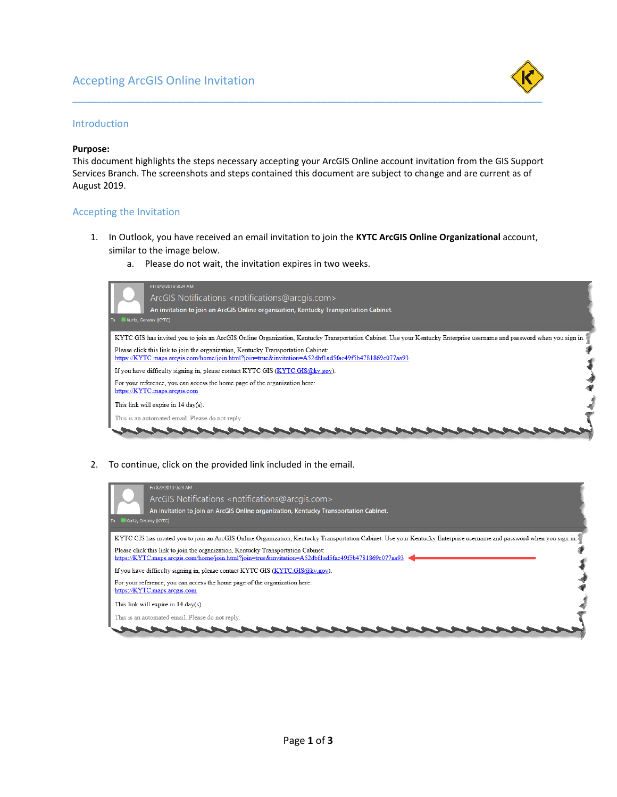# Accepting ArcGIS Online Invitation



## Introduction

### **Purpose:**

This document highlights the steps necessary accepting your ArcGIS Online account invitation from the GIS Support Services Branch. The screenshots and steps contained this document are subject to change and are current as of August 2019.

#### Accepting the Invitation

- 1. In Outlook, you have received an email invitation to join the **KYTC ArcGIS Online Organizational** account, similar to the image below.
	- a. Please do not wait, the invitation expires in two weeks.

| Fri 8/9/2019 9:24 AM<br>ArcGIS Notifications <notifications@arcgis.com><br/>An invitation to join an ArcGIS Online organization, Kentucky Transportation Cabinet.<br/>Kurtz, Geramy (KYTC)<br/>To</notifications@arcgis.com> |  |
|------------------------------------------------------------------------------------------------------------------------------------------------------------------------------------------------------------------------------|--|
| KYTC GIS has invited you to join an ArcGIS Online Organization, Kentucky Transportation Cabinet. Use your Kentucky Enterprise username and password when you sign in.                                                        |  |
| Please click this link to join the organization. Kentucky Transportation Cabinet:<br>https://KYTC.maps.arcgis.com/home/join.html?join=true&invitation=A52dbf1ad5fac49f5b4781869c077aa93                                      |  |
| If you have difficulty signing in, please contact KYTC GIS (KYTC GIS @ky.gov).                                                                                                                                               |  |
| For your reference, you can access the home page of the organization here:<br>https://KYTC.maps.arcgis.com                                                                                                                   |  |
| This link will expire in 14 day(s).                                                                                                                                                                                          |  |
| This is an automated email. Please do not reply.                                                                                                                                                                             |  |
|                                                                                                                                                                                                                              |  |

2. To continue, click on the provided link included in the email.

| Fri 8/9/2019 9:24 AM<br>ArcGIS Notifications <notifications@arcgis.com><br/>An invitation to join an ArcGIS Online organization, Kentucky Transportation Cabinet.<br/>Kurtz, Geramy (KYTC)<br/>T<sub>o</sub></notifications@arcgis.com> |
|-----------------------------------------------------------------------------------------------------------------------------------------------------------------------------------------------------------------------------------------|
| KYTC GIS has invited you to join an ArcGIS Online Organization, Kentucky Transportation Cabinet. Use your Kentucky Enterprise username and password when you sign in.                                                                   |
| Please click this link to join the organization. Kentucky Transportation Cabinet:<br>https://KYTC.maps.arcgis.com/home/join.html?join=true&invitation=A52dbf1ad5fac49f5b4781869c077aa93                                                 |
| If you have difficulty signing in, please contact KYTC GIS (KYTC GIS @ky.gov).                                                                                                                                                          |
| For your reference, you can access the home page of the organization here:<br>https://KYTC.maps.arcgis.com                                                                                                                              |
| This link will expire in 14 day(s).                                                                                                                                                                                                     |
| This is an automated email. Please do not reply.                                                                                                                                                                                        |
|                                                                                                                                                                                                                                         |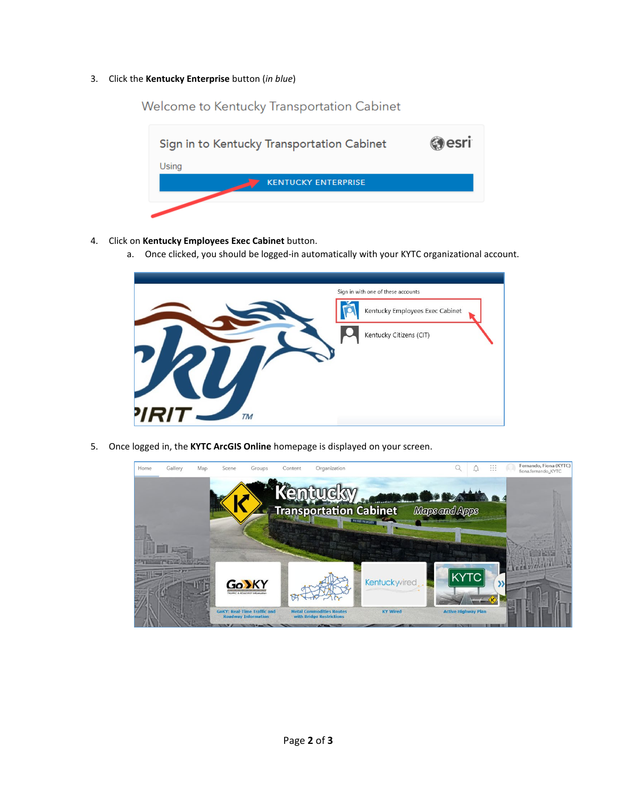## 3. Click the **Kentucky Enterprise** button (*in blue*)



Welcome to Kentucky Transportation Cabinet

- 4. Click on **Kentucky Employees Exec Cabinet** button.
	- a. Once clicked, you should be logged-in automatically with your KYTC organizational account.



5. Once logged in, the **KYTC ArcGIS Online** homepage is displayed on your screen.